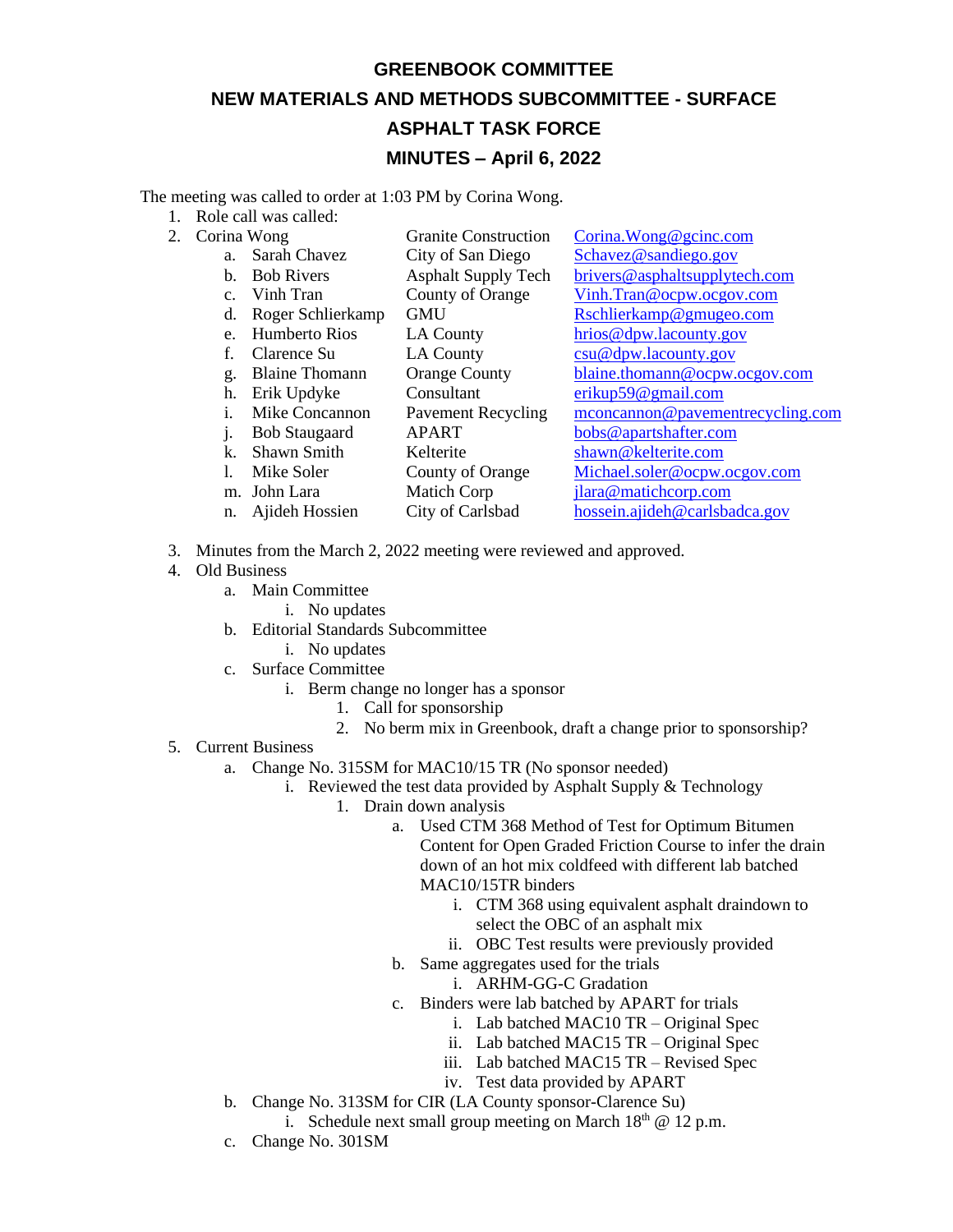## **GREENBOOK COMMITTEE NEW MATERIALS AND METHODS SUBCOMMITTEE - SURFACE ASPHALT TASK FORCE MINUTES – April 6, 2022**

The meeting was called to order at 1:03 PM by Corina Wong.

- 1. Role call was called:
- 2. Corina Wong Granite Construction Corina. Wong @gcinc.com
	- a. Sarah Chavez City of San Diego [Schavez@sandiego.gov](mailto:Schavez@sandiego.gov) b. Bob Rivers Asphalt Supply Tech [brivers@asphaltsupplytech.com](mailto:brivers@asphaltsupplytech.com) c. Vinh Tran County of Orange [Vinh.Tran@ocpw.ocgov.com](mailto:Vinh.Tran@ocpw.ocgov.com) d. Roger Schlierkamp GMU [Rschlierkamp@gmugeo.com](mailto:Rschlierkamp@gmugeo.com) e. Humberto Rios LA County [hrios@dpw.lacounty.gov](mailto:hrios@dpw.lacounty.gov) f. Clarence Su LA County [csu@dpw.lacounty.gov](mailto:csu@dpw.lacounty.gov) g. Blaine Thomann Orange County [blaine.thomann@ocpw.ocgov.com](mailto:blaine.thomann@ocpw.ocgov.com) h. Erik Updyke Consultant [erikup59@gmail.com](mailto:erikup59@gmail.com) i. Mike Concannon Pavement Recycling [mconcannon@pavementrecycling.com](mailto:mconcannon@pavementrecycling.com) j. Bob Staugaard APART [bobs@apartshafter.com](mailto:bobs@apartshafter.com) k. Shawn Smith Kelterite [shawn@kelterite.com](mailto:shawn@kelterite.com) l. Mike Soler County of Orange [Michael.soler@ocpw.ocgov.com](mailto:Michael.soler@ocpw.ocgov.com) m. John Lara Matich Corp [jlara@matichcorp.com](mailto:jlara@matichcorp.com) n. Ajideh Hossien City of Carlsbad [hossein.ajideh@carlsbadca.gov](mailto:hossein.ajideh@carlsbadca.gov)
- 3. Minutes from the March 2, 2022 meeting were reviewed and approved.
- 4. Old Business
	- a. Main Committee
		- i. No updates
	- b. Editorial Standards Subcommittee
		- i. No updates
	- c. Surface Committee
		- i. Berm change no longer has a sponsor
			- 1. Call for sponsorship
			- 2. No berm mix in Greenbook, draft a change prior to sponsorship?
- 5. Current Business
	- a. Change No. 315SM for MAC10/15 TR (No sponsor needed)
		- i. Reviewed the test data provided by Asphalt Supply & Technology
			- 1. Drain down analysis
				- a. Used CTM 368 Method of Test for Optimum Bitumen Content for Open Graded Friction Course to infer the drain down of an hot mix coldfeed with different lab batched MAC10/15TR binders
					- i. CTM 368 using equivalent asphalt draindown to select the OBC of an asphalt mix
					- ii. OBC Test results were previously provided
				- b. Same aggregates used for the trials
					- i. ARHM-GG-C Gradation
				- c. Binders were lab batched by APART for trials
					- i. Lab batched MAC10 TR Original Spec
					- ii. Lab batched MAC15 TR Original Spec
					- iii. Lab batched MAC15 TR Revised Spec
					- iv. Test data provided by APART
	- b. Change No. 313SM for CIR (LA County sponsor-Clarence Su)
		- i. Schedule next small group meeting on March  $18<sup>th</sup>$  @ 12 p.m.
	- c. Change No. 301SM